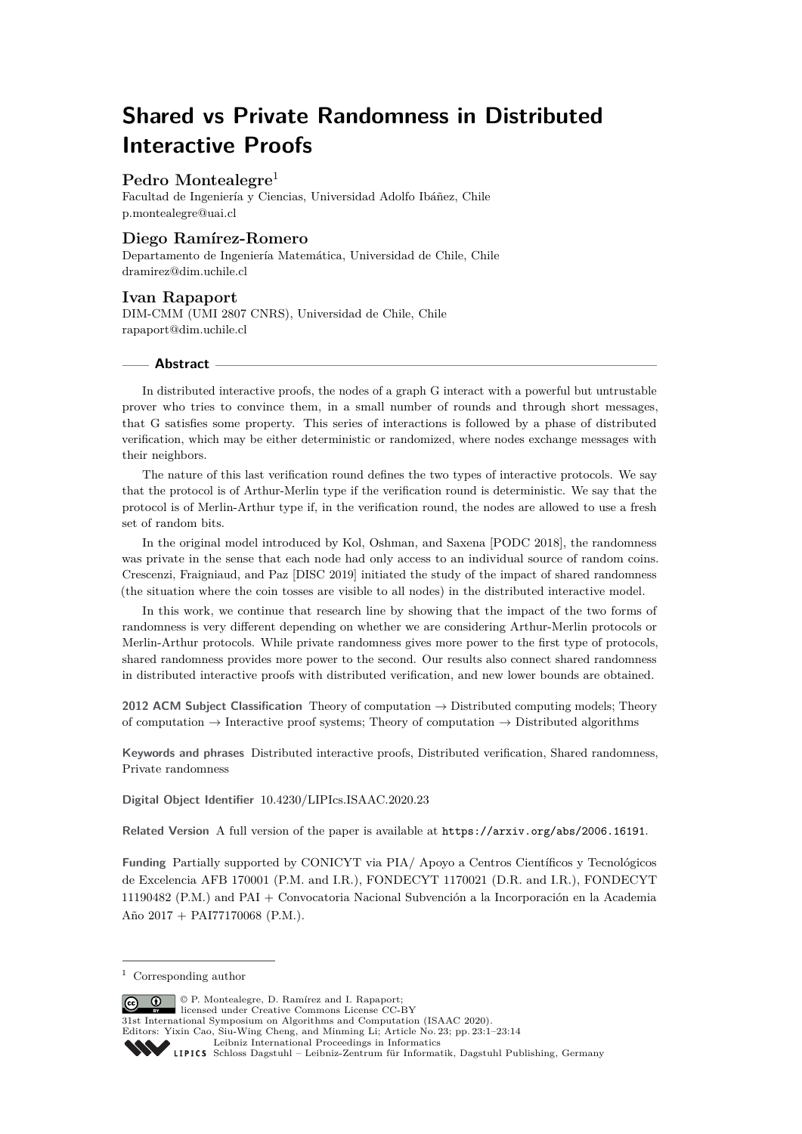# **Shared vs Private Randomness in Distributed Interactive Proofs**

# **Pedro Montealegre**<sup>1</sup>

Facultad de Ingeniería y Ciencias, Universidad Adolfo Ibáñez, Chile [p.montealegre@uai.cl](mailto:p.montealegre@uai.cl)

# **Diego Ramírez-Romero**

Departamento de Ingeniería Matemática, Universidad de Chile, Chile [dramirez@dim.uchile.cl](mailto:dramirez@dim.uchile.cl)

# **Ivan Rapaport**

DIM-CMM (UMI 2807 CNRS), Universidad de Chile, Chile [rapaport@dim.uchile.cl](mailto:rapaport@dim.uchile.cl)

# **Abstract**

In distributed interactive proofs, the nodes of a graph G interact with a powerful but untrustable prover who tries to convince them, in a small number of rounds and through short messages, that G satisfies some property. This series of interactions is followed by a phase of distributed verification, which may be either deterministic or randomized, where nodes exchange messages with their neighbors.

The nature of this last verification round defines the two types of interactive protocols. We say that the protocol is of Arthur-Merlin type if the verification round is deterministic. We say that the protocol is of Merlin-Arthur type if, in the verification round, the nodes are allowed to use a fresh set of random bits.

In the original model introduced by Kol, Oshman, and Saxena [PODC 2018], the randomness was private in the sense that each node had only access to an individual source of random coins. Crescenzi, Fraigniaud, and Paz [DISC 2019] initiated the study of the impact of shared randomness (the situation where the coin tosses are visible to all nodes) in the distributed interactive model.

In this work, we continue that research line by showing that the impact of the two forms of randomness is very different depending on whether we are considering Arthur-Merlin protocols or Merlin-Arthur protocols. While private randomness gives more power to the first type of protocols, shared randomness provides more power to the second. Our results also connect shared randomness in distributed interactive proofs with distributed verification, and new lower bounds are obtained.

**2012 ACM Subject Classification** Theory of computation → Distributed computing models; Theory of computation  $\rightarrow$  Interactive proof systems; Theory of computation  $\rightarrow$  Distributed algorithms

**Keywords and phrases** Distributed interactive proofs, Distributed verification, Shared randomness, Private randomness

**Digital Object Identifier** [10.4230/LIPIcs.ISAAC.2020.23](https://doi.org/10.4230/LIPIcs.ISAAC.2020.23)

**Related Version** A full version of the paper is available at <https://arxiv.org/abs/2006.16191>.

**Funding** Partially supported by CONICYT via PIA/ Apoyo a Centros Científicos y Tecnológicos de Excelencia AFB 170001 (P.M. and I.R.), FONDECYT 1170021 (D.R. and I.R.), FONDECYT 11190482 (P.M.) and PAI + Convocatoria Nacional Subvención a la Incorporación en la Academia Año 2017 + PAI77170068 (P.M.).

© P. Montealegre, D. Ramírez and I. Rapaport;  $\boxed{6}$  0 licensed under Creative Commons License CC-BY 31st International Symposium on Algorithms and Computation (ISAAC 2020). Editors: Yixin Cao, Siu-Wing Cheng, and Minming Li; Article No. 23; pp. 23:1–23[:14](#page-13-0) [Leibniz International Proceedings in Informatics](https://www.dagstuhl.de/lipics/) [Schloss Dagstuhl – Leibniz-Zentrum für Informatik, Dagstuhl Publishing, Germany](https://www.dagstuhl.de)

<sup>1</sup> Corresponding author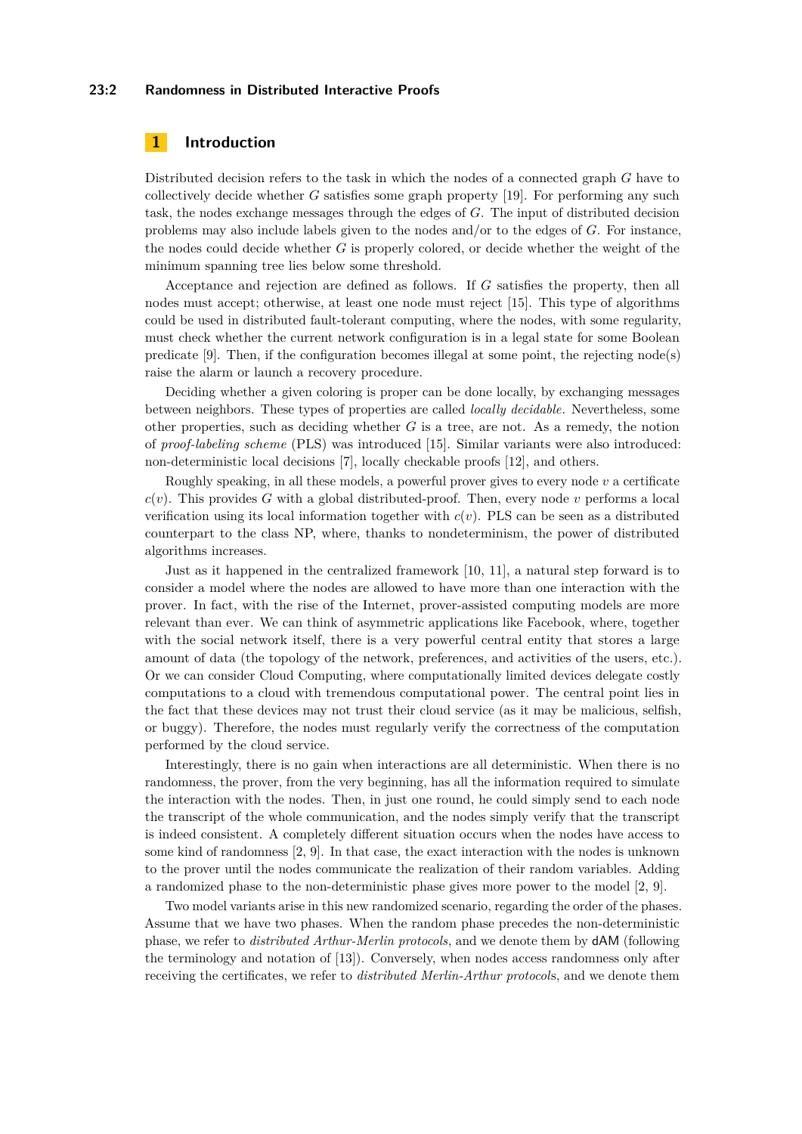# **23:2 Randomness in Distributed Interactive Proofs**

# **1 Introduction**

Distributed decision refers to the task in which the nodes of a connected graph *G* have to collectively decide whether *G* satisfies some graph property [\[19\]](#page-12-0). For performing any such task, the nodes exchange messages through the edges of *G*. The input of distributed decision problems may also include labels given to the nodes and/or to the edges of *G*. For instance, the nodes could decide whether *G* is properly colored, or decide whether the weight of the minimum spanning tree lies below some threshold.

Acceptance and rejection are defined as follows. If *G* satisfies the property, then all nodes must accept; otherwise, at least one node must reject [\[15\]](#page-12-1). This type of algorithms could be used in distributed fault-tolerant computing, where the nodes, with some regularity, must check whether the current network configuration is in a legal state for some Boolean predicate [\[9\]](#page-12-2). Then, if the configuration becomes illegal at some point, the rejecting node(s) raise the alarm or launch a recovery procedure.

Deciding whether a given coloring is proper can be done locally, by exchanging messages between neighbors. These types of properties are called *locally decidable*. Nevertheless, some other properties, such as deciding whether *G* is a tree, are not. As a remedy, the notion of *proof-labeling scheme* (PLS) was introduced [\[15\]](#page-12-1). Similar variants were also introduced: non-deterministic local decisions [\[7\]](#page-12-3), locally checkable proofs [\[12\]](#page-12-4), and others.

Roughly speaking, in all these models, a powerful prover gives to every node *v* a certificate  $c(v)$ . This provides *G* with a global distributed-proof. Then, every node *v* performs a local verification using its local information together with *c*(*v*). PLS can be seen as a distributed counterpart to the class NP, where, thanks to nondeterminism, the power of distributed algorithms increases.

Just as it happened in the centralized framework [\[10,](#page-12-5) [11\]](#page-12-6), a natural step forward is to consider a model where the nodes are allowed to have more than one interaction with the prover. In fact, with the rise of the Internet, prover-assisted computing models are more relevant than ever. We can think of asymmetric applications like Facebook, where, together with the social network itself, there is a very powerful central entity that stores a large amount of data (the topology of the network, preferences, and activities of the users, etc.). Or we can consider Cloud Computing, where computationally limited devices delegate costly computations to a cloud with tremendous computational power. The central point lies in the fact that these devices may not trust their cloud service (as it may be malicious, selfish, or buggy). Therefore, the nodes must regularly verify the correctness of the computation performed by the cloud service.

Interestingly, there is no gain when interactions are all deterministic. When there is no randomness, the prover, from the very beginning, has all the information required to simulate the interaction with the nodes. Then, in just one round, he could simply send to each node the transcript of the whole communication, and the nodes simply verify that the transcript is indeed consistent. A completely different situation occurs when the nodes have access to some kind of randomness [\[2,](#page-12-7) [9\]](#page-12-2). In that case, the exact interaction with the nodes is unknown to the prover until the nodes communicate the realization of their random variables. Adding a randomized phase to the non-deterministic phase gives more power to the model [\[2,](#page-12-7) [9\]](#page-12-2).

Two model variants arise in this new randomized scenario, regarding the order of the phases. Assume that we have two phases. When the random phase precedes the non-deterministic phase, we refer to *distributed Arthur-Merlin protocols*, and we denote them by dAM (following the terminology and notation of [\[13\]](#page-12-8)). Conversely, when nodes access randomness only after receiving the certificates, we refer to *distributed Merlin-Arthur protocol*s, and we denote them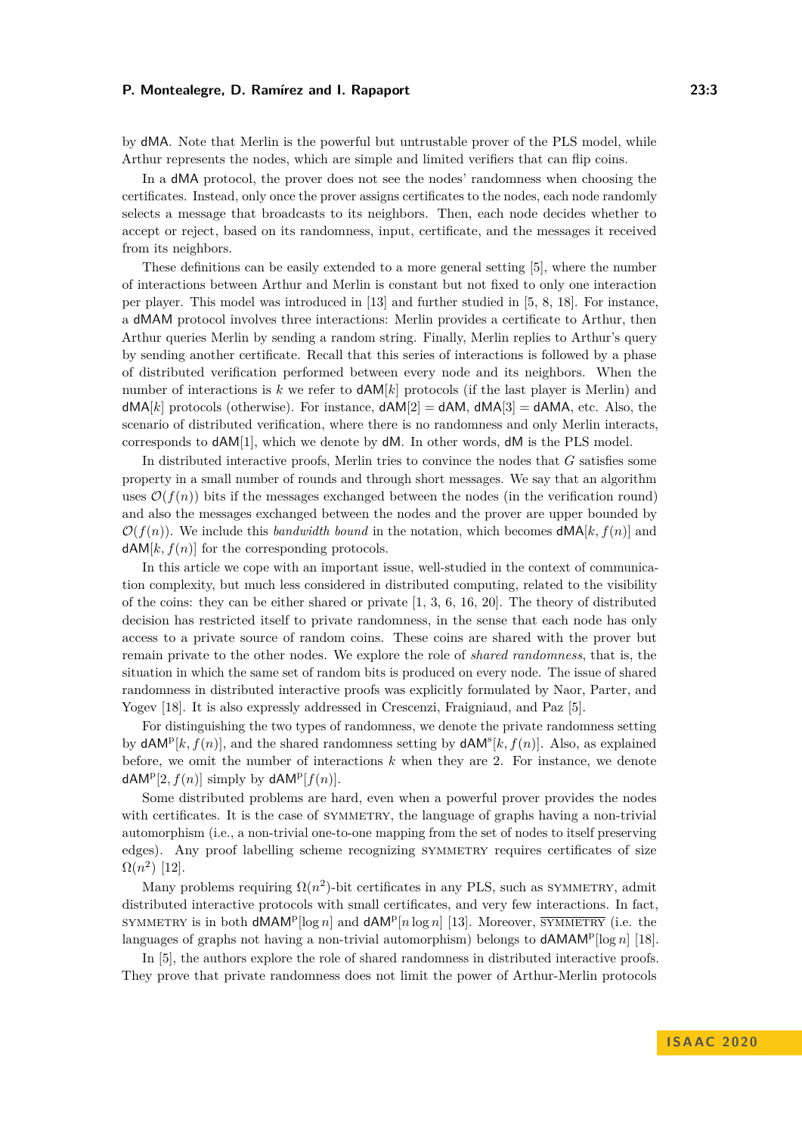by dMA. Note that Merlin is the powerful but untrustable prover of the PLS model, while Arthur represents the nodes, which are simple and limited verifiers that can flip coins.

In a dMA protocol, the prover does not see the nodes' randomness when choosing the certificates. Instead, only once the prover assigns certificates to the nodes, each node randomly selects a message that broadcasts to its neighbors. Then, each node decides whether to accept or reject, based on its randomness, input, certificate, and the messages it received from its neighbors.

These definitions can be easily extended to a more general setting [\[5\]](#page-12-9), where the number of interactions between Arthur and Merlin is constant but not fixed to only one interaction per player. This model was introduced in [\[13\]](#page-12-8) and further studied in [\[5,](#page-12-9) [8,](#page-12-10) [18\]](#page-12-11). For instance, a dMAM protocol involves three interactions: Merlin provides a certificate to Arthur, then Arthur queries Merlin by sending a random string. Finally, Merlin replies to Arthur's query by sending another certificate. Recall that this series of interactions is followed by a phase of distributed verification performed between every node and its neighbors. When the number of interactions is  $k$  we refer to  $dAM[k]$  protocols (if the last player is Merlin) and  $dMA[k]$  protocols (otherwise). For instance,  $dAM[2] = dAM$ ,  $dMA[3] = dAMA$ , etc. Also, the scenario of distributed verification, where there is no randomness and only Merlin interacts, corresponds to dAM[1], which we denote by dM. In other words, dM is the PLS model.

In distributed interactive proofs, Merlin tries to convince the nodes that *G* satisfies some property in a small number of rounds and through short messages. We say that an algorithm uses  $\mathcal{O}(f(n))$  bits if the messages exchanged between the nodes (in the verification round) and also the messages exchanged between the nodes and the prover are upper bounded by  $\mathcal{O}(f(n))$ . We include this *bandwidth bound* in the notation, which becomes  $dMA[k, f(n)]$  and  $dAM[k, f(n)]$  for the corresponding protocols.

In this article we cope with an important issue, well-studied in the context of communication complexity, but much less considered in distributed computing, related to the visibility of the coins: they can be either shared or private  $[1, 3, 6, 16, 20]$  $[1, 3, 6, 16, 20]$  $[1, 3, 6, 16, 20]$  $[1, 3, 6, 16, 20]$  $[1, 3, 6, 16, 20]$  $[1, 3, 6, 16, 20]$  $[1, 3, 6, 16, 20]$  $[1, 3, 6, 16, 20]$  $[1, 3, 6, 16, 20]$ . The theory of distributed decision has restricted itself to private randomness, in the sense that each node has only access to a private source of random coins. These coins are shared with the prover but remain private to the other nodes. We explore the role of *shared randomness*, that is, the situation in which the same set of random bits is produced on every node. The issue of shared randomness in distributed interactive proofs was explicitly formulated by Naor, Parter, and Yogev [\[18\]](#page-12-11). It is also expressly addressed in Crescenzi, Fraigniaud, and Paz [\[5\]](#page-12-9).

For distinguishing the two types of randomness, we denote the private randomness setting by  $dAM^p[k, f(n)]$ , and the shared randomness setting by  $dAM^s[k, f(n)]$ . Also, as explained before, we omit the number of interactions *k* when they are 2. For instance, we denote  $dAM<sup>p</sup>[2, f(n)]$  simply by  $dAM<sup>p</sup>[f(n)]$ .

Some distributed problems are hard, even when a powerful prover provides the nodes with certificates. It is the case of SYMMETRY, the language of graphs having a non-trivial automorphism (i.e., a non-trivial one-to-one mapping from the set of nodes to itself preserving edges). Any proof labelling scheme recognizing SYMMETRY requires certificates of size  $\Omega(n^2)$  [\[12\]](#page-12-4).

Many problems requiring  $\Omega(n^2)$ -bit certificates in any PLS, such as SYMMETRY, admit distributed interactive protocols with small certificates, and very few interactions. In fact, SYMMETRY is in both  $dMAP[\log n]$  and  $dAM^p[n \log n]$  [\[13\]](#page-12-8). Moreover,  $\overline{\text{SYMMETRY}}$  (i.e. the languages of graphs not having a non-trivial automorphism) belongs to **dAMAM<sup>p</sup>**[log *n*] [\[18\]](#page-12-11).

In [\[5\]](#page-12-9), the authors explore the role of shared randomness in distributed interactive proofs. They prove that private randomness does not limit the power of Arthur-Merlin protocols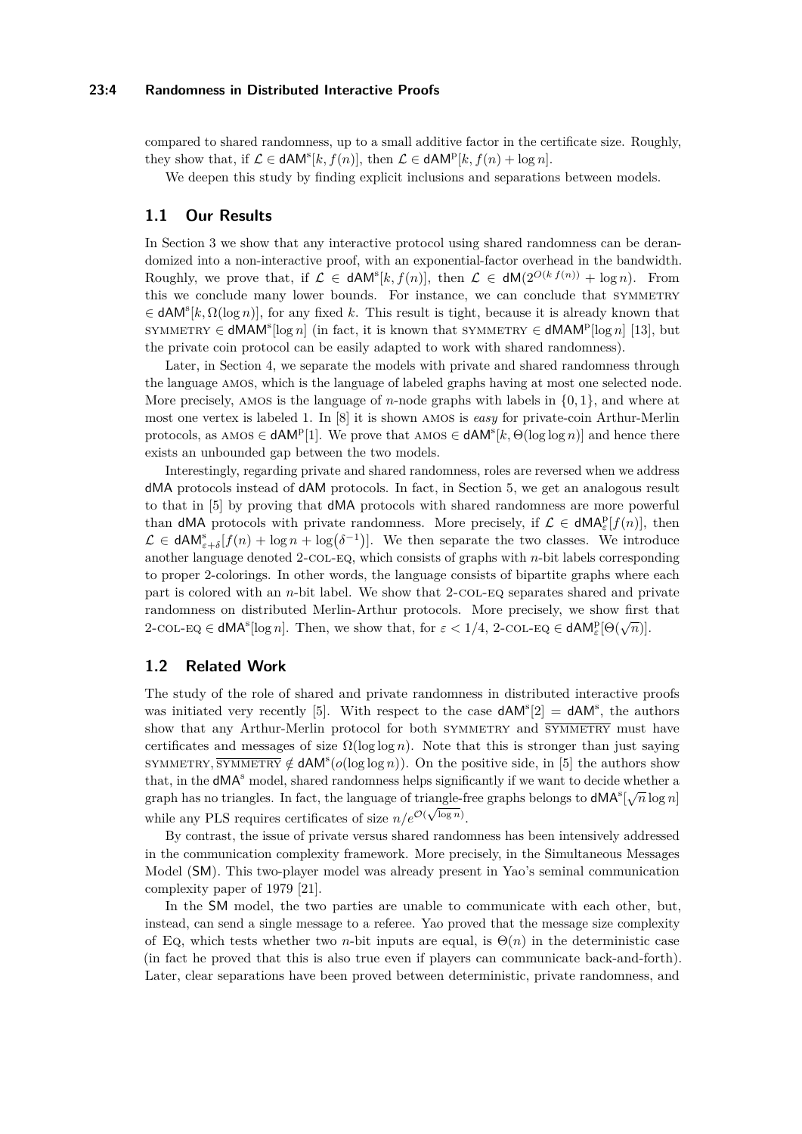# **23:4 Randomness in Distributed Interactive Proofs**

compared to shared randomness, up to a small additive factor in the certificate size. Roughly, they show that, if  $\mathcal{L} \in \text{dAM}^s[k, f(n)]$ , then  $\mathcal{L} \in \text{dAM}^p[k, f(n) + \log n]$ .

We deepen this study by finding explicit inclusions and separations between models.

# **1.1 Our Results**

In Section [3](#page-7-0) we show that any interactive protocol using shared randomness can be derandomized into a non-interactive proof, with an exponential-factor overhead in the bandwidth. Roughly, we prove that, if  $\mathcal{L} \in \text{dAM}^{s}[k, f(n)]$ , then  $\mathcal{L} \in \text{dM}(2^{O(k f(n))} + \log n)$ . From this we conclude many lower bounds. For instance, we can conclude that SYMMETRY  $\in$  **dAM**<sup>s</sup> $[k, \Omega(\log n)]$ , for any fixed *k*. This result is tight, because it is already known that SYMMETRY  $\in$  **dMAM<sup>s</sup>**[log *n*] (in fact, it is known that SYMMETRY  $\in$  **dMAM<sup>p</sup>**[log *n*] [\[13\]](#page-12-8), but the private coin protocol can be easily adapted to work with shared randomness).

Later, in Section [4,](#page-9-0) we separate the models with private and shared randomness through the language amos, which is the language of labeled graphs having at most one selected node. More precisely, amos is the language of *n*-node graphs with labels in {0*,* 1}, and where at most one vertex is labeled 1. In [\[8\]](#page-12-10) it is shown amos is *easy* for private-coin Arthur-Merlin protocols, as AMOS  $\in$  **dAM<sup>p</sup>**[1]. We prove that AMOS  $\in$  **dAM<sup>s</sup>**[ $k$ ,  $\Theta(\log \log n)$ ] and hence there exists an unbounded gap between the two models.

Interestingly, regarding private and shared randomness, roles are reversed when we address dMA protocols instead of dAM protocols. In fact, in Section [5,](#page-10-0) we get an analogous result to that in [\[5\]](#page-12-9) by proving that dMA protocols with shared randomness are more powerful than **dMA** protocols with private randomness. More precisely, if  $\mathcal{L} \in \mathsf{dMA}^p_{\varepsilon}[f(n)]$ , then  $\mathcal{L} \in \text{dAM}_{\varepsilon+\delta}^s[f(n) + \log n + \log(\delta^{-1})].$  We then separate the two classes. We introduce another language denoted 2-col-eq, which consists of graphs with *n*-bit labels corresponding to proper 2-colorings. In other words, the language consists of bipartite graphs where each part is colored with an *n*-bit label. We show that 2-col-eq separates shared and private randomness on distributed Merlin-Arthur protocols. More precisely, we show first that  $2$ -col- $EQ \in dMA^s[\log n]$ . Then, we show that, for  $\varepsilon < 1/4$ , 2-col- $EQ \in dAM^p_{\varepsilon}[\Theta(\sqrt{n})]$ .

# **1.2 Related Work**

The study of the role of shared and private randomness in distributed interactive proofs was initiated very recently [\[5\]](#page-12-9). With respect to the case  $dAM<sup>s</sup>[2] = dAM<sup>s</sup>$ , the authors show that any Arthur-Merlin protocol for both SYMMETRY and  $\overline{\text{SYMMETRY}}$  must have certificates and messages of size  $\Omega(\log \log n)$ . Note that this is stronger than just saying SYMMETRY,  $\overline{\text{SYMMETRY}} \notin dAM^s(o(\log \log n))$ . On the positive side, in [\[5\]](#page-12-9) the authors show that, in the  $dMA<sup>s</sup>$  model, shared randomness helps significantly if we want to decide whether a graph has no triangles. In fact, the language of triangle-free graphs belongs to  $\mathsf{d} \mathsf{M} \mathsf{A}^s[\sqrt{n} \log n]$ while any PLS requires certificates of size  $n/e^{\mathcal{O}(\sqrt{\log n})}$ .

By contrast, the issue of private versus shared randomness has been intensively addressed in the communication complexity framework. More precisely, in the Simultaneous Messages Model (SM). This two-player model was already present in Yao's seminal communication complexity paper of 1979 [\[21\]](#page-13-2).

In the SM model, the two parties are unable to communicate with each other, but, instead, can send a single message to a referee. Yao proved that the message size complexity of Eq, which tests whether two *n*-bit inputs are equal, is  $\Theta(n)$  in the deterministic case (in fact he proved that this is also true even if players can communicate back-and-forth). Later, clear separations have been proved between deterministic, private randomness, and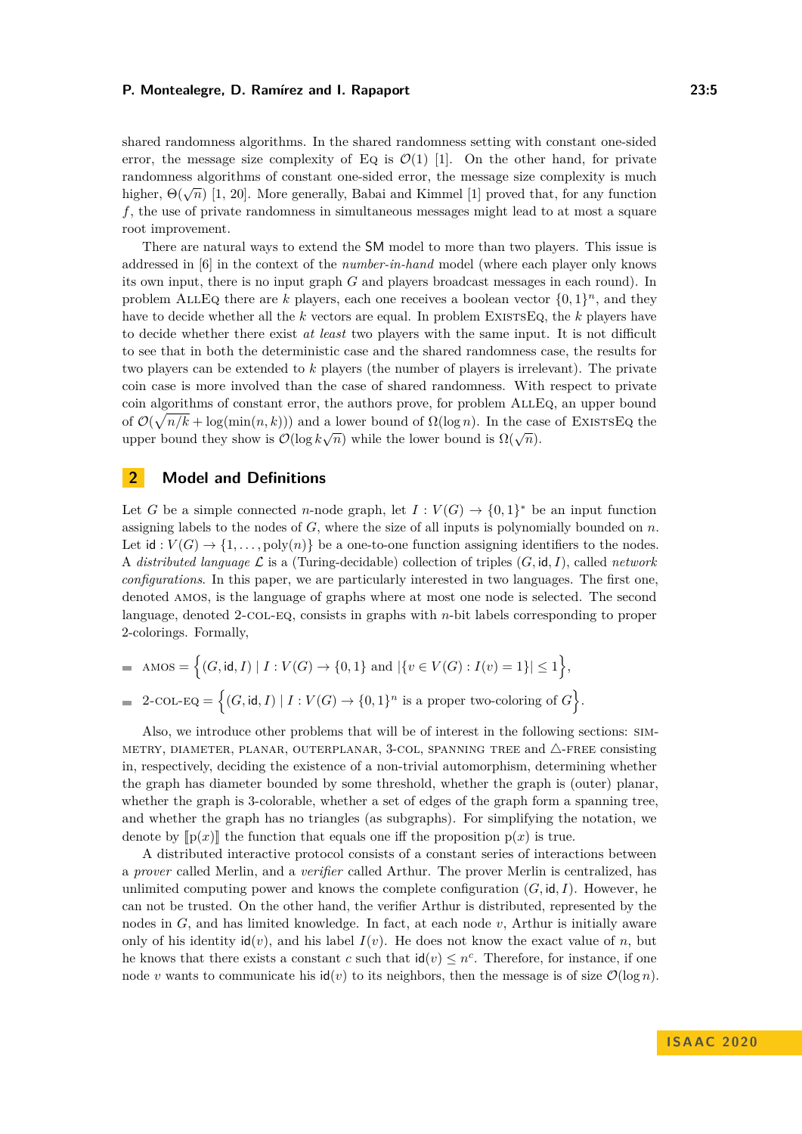shared randomness algorithms. In the shared randomness setting with constant one-sided error, the message size complexity of Eq is  $\mathcal{O}(1)$  [\[1\]](#page-12-12). On the other hand, for private randomness algorithms of constant one-sided error, the message size complexity is much higher,  $\Theta(\sqrt{n})$  [\[1,](#page-12-12) [20\]](#page-13-1). More generally, Babai and Kimmel [\[1\]](#page-12-12) proved that, for any function *f*, the use of private randomness in simultaneous messages might lead to at most a square root improvement.

There are natural ways to extend the SM model to more than two players. This issue is addressed in [\[6\]](#page-12-14) in the context of the *number-in-hand* model (where each player only knows its own input, there is no input graph *G* and players broadcast messages in each round). In problem ALLEQ there are *k* players, each one receives a boolean vector  $\{0,1\}^n$ , and they have to decide whether all the *k* vectors are equal. In problem EXISTSEQ, the *k* players have to decide whether there exist *at least* two players with the same input. It is not difficult to see that in both the deterministic case and the shared randomness case, the results for two players can be extended to *k* players (the number of players is irrelevant). The private coin case is more involved than the case of shared randomness. With respect to private coin algorithms of constant error, the authors prove, for problem AllEq, an upper bound of  $\mathcal{O}(\sqrt{n/k} + \log(\min(n, k)))$  and a lower bound of  $\Omega(\log n)$ . In the case of EXISTSEQ the  $\mathcal{O}(\sqrt{n}/n + \log(\min(n, k))')$  and a lower bound of  $\Omega(\log n)$ . In the case upper bound they show is  $\mathcal{O}(\log k \sqrt{n})$  while the lower bound is  $\Omega(\sqrt{n})$ .

# **2 Model and Definitions**

Let *G* be a simple connected *n*-node graph, let  $I: V(G) \to \{0,1\}^*$  be an input function assigning labels to the nodes of *G*, where the size of all inputs is polynomially bounded on *n*. Let  $\mathsf{id}: V(G) \to \{1,\ldots,\text{poly}(n)\}\$  be a one-to-one function assigning identifiers to the nodes. A *distributed language*  $\mathcal{L}$  is a (Turing-decidable) collection of triples  $(G, id, I)$ , called *network configurations*. In this paper, we are particularly interested in two languages. The first one, denoted amos, is the language of graphs where at most one node is selected. The second language, denoted 2-col-eq, consists in graphs with *n*-bit labels corresponding to proper 2-colorings. Formally,

 $\text{AMOS} = \left\{ (G, id, I) \mid I : V(G) \to \{0, 1\} \text{ and } |\{v \in V(G) : I(v) = 1\}| \leq 1 \right\},$ 

$$
= 2\text{-COL-EQ} = \left\{ (G, id, I) \mid I : V(G) \to \{0, 1\}^n \text{ is a proper two-coloring of } G \right\}.
$$

Also, we introduce other problems that will be of interest in the following sections: sim-METRY, DIAMETER, PLANAR, OUTERPLANAR, 3-COL, SPANNING TREE and  $\triangle$ -FREE consisting in, respectively, deciding the existence of a non-trivial automorphism, determining whether the graph has diameter bounded by some threshold, whether the graph is (outer) planar, whether the graph is 3-colorable, whether a set of edges of the graph form a spanning tree, and whether the graph has no triangles (as subgraphs). For simplifying the notation, we denote by  $[\![p(x)]\!]$  the function that equals one iff the proposition  $p(x)$  is true.

A distributed interactive protocol consists of a constant series of interactions between a *prover* called Merlin, and a *verifier* called Arthur. The prover Merlin is centralized, has unlimited computing power and knows the complete configuration  $(G, id, I)$ . However, he can not be trusted. On the other hand, the verifier Arthur is distributed, represented by the nodes in *G*, and has limited knowledge. In fact, at each node *v*, Arthur is initially aware only of his identity  $\mathsf{id}(v)$ , and his label  $I(v)$ . He does not know the exact value of *n*, but he knows that there exists a constant *c* such that  $\text{id}(v) \leq n^c$ . Therefore, for instance, if one node *v* wants to communicate his  $\mathbf{id}(v)$  to its neighbors, then the message is of size  $\mathcal{O}(\log n)$ .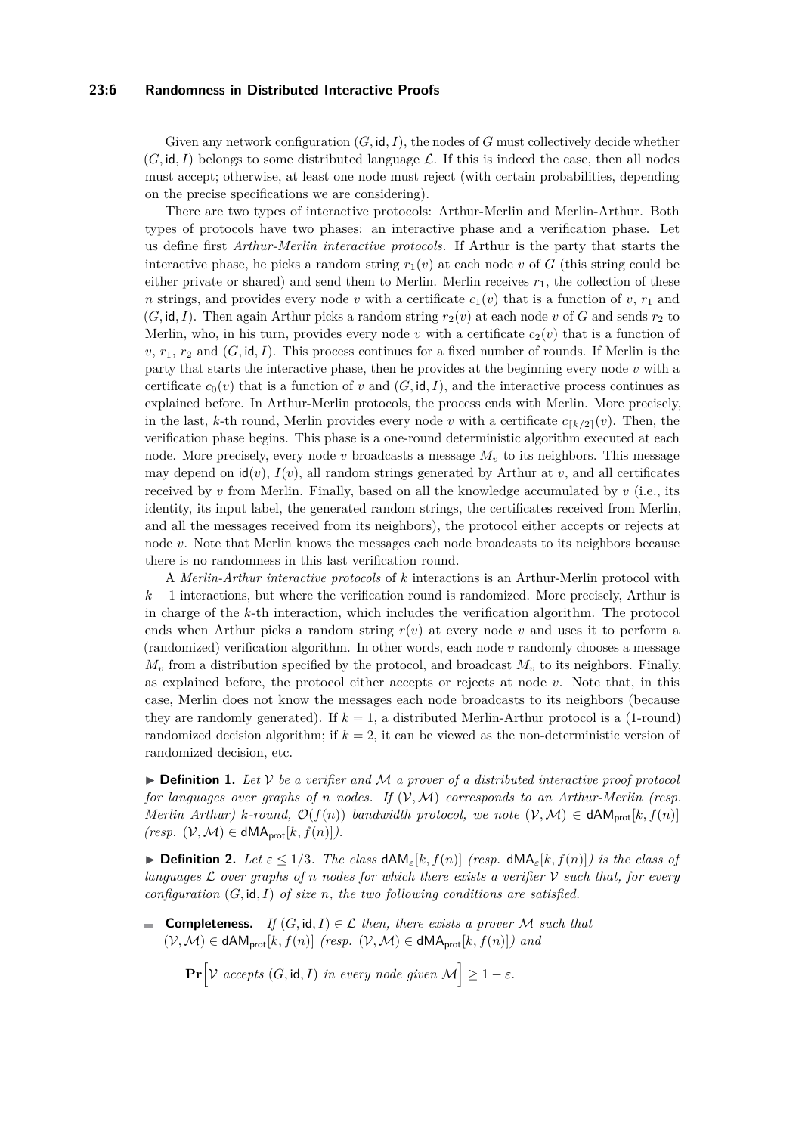# **23:6 Randomness in Distributed Interactive Proofs**

Given any network configuration (*G,* id*, I*), the nodes of *G* must collectively decide whether  $(G, id, I)$  belongs to some distributed language  $\mathcal{L}$ . If this is indeed the case, then all nodes must accept; otherwise, at least one node must reject (with certain probabilities, depending on the precise specifications we are considering).

There are two types of interactive protocols: Arthur-Merlin and Merlin-Arthur. Both types of protocols have two phases: an interactive phase and a verification phase. Let us define first *Arthur-Merlin interactive protocols*. If Arthur is the party that starts the interactive phase, he picks a random string  $r_1(v)$  at each node v of *G* (this string could be either private or shared) and send them to Merlin. Merlin receives  $r_1$ , the collection of these *n* strings, and provides every node *v* with a certificate  $c_1(v)$  that is a function of *v*,  $r_1$  and  $(G, id, I)$ . Then again Arthur picks a random string  $r_2(v)$  at each node v of G and sends  $r_2$  to Merlin, who, in his turn, provides every node *v* with a certificate  $c_2(v)$  that is a function of  $v, r_1, r_2$  and  $(G, id, I)$ . This process continues for a fixed number of rounds. If Merlin is the party that starts the interactive phase, then he provides at the beginning every node *v* with a certificate  $c_0(v)$  that is a function of *v* and  $(G, id, I)$ , and the interactive process continues as explained before. In Arthur-Merlin protocols, the process ends with Merlin. More precisely, in the last, *k*-th round, Merlin provides every node *v* with a certificate  $c_{[k/2]}(v)$ . Then, the verification phase begins. This phase is a one-round deterministic algorithm executed at each node. More precisely, every node *v* broadcasts a message  $M<sub>v</sub>$  to its neighbors. This message may depend on  $id(v)$ ,  $I(v)$ , all random strings generated by Arthur at *v*, and all certificates received by  $v$  from Merlin. Finally, based on all the knowledge accumulated by  $v$  (i.e., its identity, its input label, the generated random strings, the certificates received from Merlin, and all the messages received from its neighbors), the protocol either accepts or rejects at node *v*. Note that Merlin knows the messages each node broadcasts to its neighbors because there is no randomness in this last verification round.

A *Merlin-Arthur interactive protocols* of *k* interactions is an Arthur-Merlin protocol with  $k-1$  interactions, but where the verification round is randomized. More precisely, Arthur is in charge of the *k*-th interaction, which includes the verification algorithm. The protocol ends when Arthur picks a random string *r*(*v*) at every node *v* and uses it to perform a (randomized) verification algorithm. In other words, each node *v* randomly chooses a message  $M_v$  from a distribution specified by the protocol, and broadcast  $M_v$  to its neighbors. Finally, as explained before, the protocol either accepts or rejects at node *v*. Note that, in this case, Merlin does not know the messages each node broadcasts to its neighbors (because they are randomly generated). If  $k = 1$ , a distributed Merlin-Arthur protocol is a (1-round) randomized decision algorithm; if  $k = 2$ , it can be viewed as the non-deterministic version of randomized decision, etc.

 $\triangleright$  **Definition 1.** Let  $\mathcal V$  be a verifier and  $\mathcal M$  a prover of a distributed interactive proof protocol *for languages over graphs of n nodes. If*  $(V, M)$  *corresponds to an Arthur-Merlin (resp. Merlin Arthur) k-round,*  $\mathcal{O}(f(n))$  *bandwidth protocol, we note*  $(\mathcal{V}, \mathcal{M}) \in \mathsf{dAM}_{\mathsf{prot}}[k, f(n)]$  $(resp. (\mathcal{V}, \mathcal{M}) \in \text{dMA}_{\text{prot}}[k, f(n)]$ .

**► Definition 2.** Let  $\epsilon \leq 1/3$ . The class  $dAM_{\epsilon}[k, f(n)]$  (resp.  $dMA_{\epsilon}[k, f(n)]$ ) is the class of *languages* L *over graphs of n nodes for which there exists a verifier* V *such that, for every configuration* (*G,* id*, I*) *of size n, the two following conditions are satisfied.*

**Completeness.** *If*  $(G, id, I) \in \mathcal{L}$  *then, there exists a prover M such that*  $(V, M)$  ∈ dAM<sub>prot</sub> $[k, f(n)]$  *(resp.*  $(V, M)$  ∈ dMA<sub>prot</sub> $[k, f(n)]$ *) and* 

**Pr** $[\mathcal{V}$  *accepts*  $(G, id, I)$  *in every node given*  $\mathcal{M}] \geq 1 - \varepsilon$ .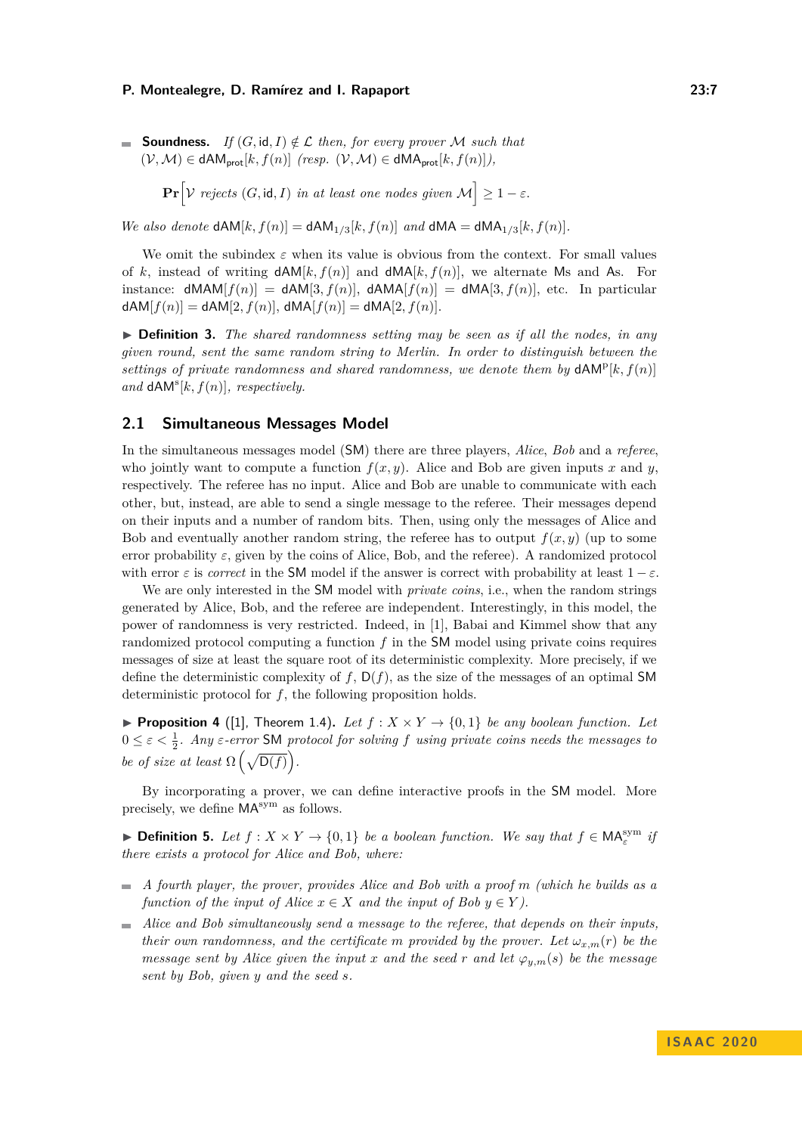■ **Soundness.** If 
$$
(G, id, I) \notin \mathcal{L}
$$
 then, for every prover  $\mathcal{M}$  such that  $(\mathcal{V}, \mathcal{M}) \in \mathsf{dAM}_{\mathsf{prot}}[k, f(n)]$  (resp.  $(\mathcal{V}, \mathcal{M}) \in \mathsf{dMA}_{\mathsf{prot}}[k, f(n)]$ ),

**Pr** $[\mathcal{V}$  *rejects*  $(G, id, I)$  *in at least one nodes given*  $\mathcal{M}] \geq 1 - \varepsilon$ .

*We also denote*  $dAM[k, f(n)] = dAM_{1/3}[k, f(n)]$  *and*  $dMA = dMA_{1/3}[k, f(n)]$ *.* 

We omit the subindex  $\varepsilon$  when its value is obvious from the context. For small values of k, instead of writing  $dAM[k, f(n)]$  and  $dMA[k, f(n)]$ , we alternate Ms and As. For instance:  $dMAM[f(n)] = dAM[3, f(n)]$ ,  $dAMA[f(n)] = dMA[3, f(n)]$ , etc. In particular  $dAM[f(n)] = dAM[2, f(n)], dMA[f(n)] = dMA[2, f(n)].$ 

I **Definition 3.** *The shared randomness setting may be seen as if all the nodes, in any given round, sent the same random string to Merlin. In order to distinguish between the* settings of private randomness and shared randomness, we denote them by  $dAM<sup>p</sup>[k, f(n)]$ and  $dAM<sup>s</sup>[k, f(n)]$ *, respectively.* 

# **2.1 Simultaneous Messages Model**

In the simultaneous messages model (SM) there are three players, *Alice*, *Bob* and a *referee*, who jointly want to compute a function  $f(x, y)$ . Alice and Bob are given inputs x and y, respectively. The referee has no input. Alice and Bob are unable to communicate with each other, but, instead, are able to send a single message to the referee. Their messages depend on their inputs and a number of random bits. Then, using only the messages of Alice and Bob and eventually another random string, the referee has to output  $f(x, y)$  (up to some error probability  $\varepsilon$ , given by the coins of Alice, Bob, and the referee). A randomized protocol with error  $\varepsilon$  is *correct* in the SM model if the answer is correct with probability at least  $1 - \varepsilon$ .

We are only interested in the SM model with *private coins*, i.e., when the random strings generated by Alice, Bob, and the referee are independent. Interestingly, in this model, the power of randomness is very restricted. Indeed, in [\[1\]](#page-12-12), Babai and Kimmel show that any randomized protocol computing a function *f* in the SM model using private coins requires messages of size at least the square root of its deterministic complexity. More precisely, if we define the deterministic complexity of  $f$ ,  $D(f)$ , as the size of the messages of an optimal SM deterministic protocol for *f*, the following proposition holds.

<span id="page-6-0"></span>**Proposition 4** ([\[1\]](#page-12-12), Theorem 1.4). Let  $f: X \times Y \rightarrow \{0,1\}$  be any boolean function. Let  $0 \leq \varepsilon < \frac{1}{2}$ . Any  $\varepsilon$ -error SM protocol for solving f using private coins needs the messages to *be of size at least*  $\Omega\left(\sqrt{D(f)}\right)$ .

By incorporating a prover, we can define interactive proofs in the SM model. More precisely, we define  $MA^{sym}$  as follows.

▶ **Definition 5.** Let  $f : X \times Y \rightarrow \{0, 1\}$  be a boolean function. We say that  $f \in \mathsf{MA}^{\text{sym}}_{\varepsilon}$  if *there exists a protocol for Alice and Bob, where:*

- *A fourth player, the prover, provides Alice and Bob with a proof m (which he builds as a function of the input of Alice*  $x \in X$  *and the input of Bob*  $y \in Y$ *).*
- *Alice and Bob simultaneously send a message to the referee, that depends on their inputs, their own randomness, and the certificate m provided by the prover. Let*  $\omega_{x,m}(r)$  *be the message sent by Alice given the input x and the seed r and let*  $\varphi_{y,m}(s)$  *be the message sent by Bob, given y and the seed s.*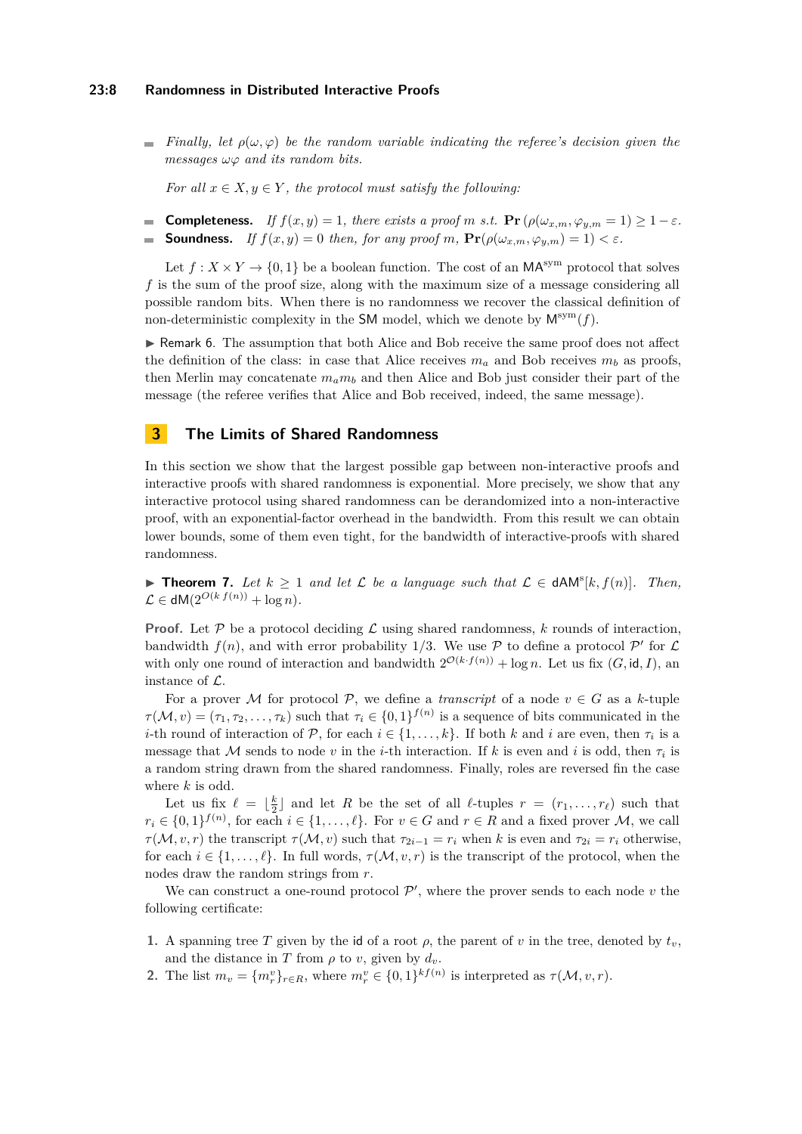#### **23:8 Randomness in Distributed Interactive Proofs**

*Finally, let*  $\rho(\omega, \varphi)$  *be the random variable indicating the referee's decision given the messages ωϕ and its random bits.*

*For all*  $x \in X, y \in Y$ *, the protocol must satisfy the following:* 

■ **Completeness.** *If*  $f(x, y) = 1$ *, there exists a proof m s.t.*  $Pr(\rho(\omega_{x,m}, \varphi_{y,m} = 1) \ge 1 - \varepsilon$ *.* **Soundness.** *If*  $f(x, y) = 0$  *then, for any proof*  $m$ ,  $\Pr(\rho(\omega_{x,m}, \varphi_{y,m}) = 1) < \varepsilon$ .  $\equiv$ 

Let  $f: X \times Y \to \{0,1\}$  be a boolean function. The cost of an  $\mathsf{MA}^{\text{sym}}$  protocol that solves f is the sum of the proof size, along with the maximum size of a message considering all possible random bits. When there is no randomness we recover the classical definition of non-deterministic complexity in the SM model, which we denote by  $M^{sym}(f)$ .

► Remark 6. The assumption that both Alice and Bob receive the same proof does not affect the definition of the class: in case that Alice receives  $m_a$  and Bob receives  $m_b$  as proofs, then Merlin may concatenate  $m_a m_b$  and then Alice and Bob just consider their part of the message (the referee verifies that Alice and Bob received, indeed, the same message).

# <span id="page-7-0"></span>**3 The Limits of Shared Randomness**

In this section we show that the largest possible gap between non-interactive proofs and interactive proofs with shared randomness is exponential. More precisely, we show that any interactive protocol using shared randomness can be derandomized into a non-interactive proof, with an exponential-factor overhead in the bandwidth. From this result we can obtain lower bounds, some of them even tight, for the bandwidth of interactive-proofs with shared randomness.

<span id="page-7-1"></span>**► Theorem 7.** Let  $k \ge 1$  and let  $\mathcal{L}$  be a language such that  $\mathcal{L} \in dAM^s[k, f(n)]$ . Then,  $\mathcal{L} \in \mathsf{dM}(2^{O(k \cdot f(n))} + \log n).$ 

**Proof.** Let  $P$  be a protocol deciding  $\mathcal{L}$  using shared randomness,  $k$  rounds of interaction, bandwidth  $f(n)$ , and with error probability 1/3. We use  $P$  to define a protocol  $P'$  for  $\mathcal L$ with only one round of interaction and bandwidth  $2^{\mathcal{O}(k \cdot f(n))} + \log n$ . Let us fix  $(G, id, I)$ , an instance of L.

For a prover M for protocol P, we define a *transcript* of a node  $v \in G$  as a k-tuple  $\tau(\mathcal{M}, v) = (\tau_1, \tau_2, \dots, \tau_k)$  such that  $\tau_i \in \{0, 1\}^{f(n)}$  is a sequence of bits communicated in the *i*-th round of interaction of  $P$ , for each  $i \in \{1, \ldots, k\}$ . If both  $k$  and  $i$  are even, then  $\tau_i$  is a message that M sends to node *v* in the *i*-th interaction. If k is even and *i* is odd, then  $\tau_i$  is a random string drawn from the shared randomness. Finally, roles are reversed fin the case where *k* is odd.

Let us fix  $\ell = \lfloor \frac{k}{2} \rfloor$  and let *R* be the set of all  $\ell$ -tuples  $r = (r_1, \ldots, r_\ell)$  such that  $r_i \in \{0,1\}^{f(n)}$ , for each  $i \in \{1,\ldots,\ell\}$ . For  $v \in G$  and  $r \in R$  and a fixed prover M, we call *τ* (*M*, *v*, *r*) the transcript  $\tau(\mathcal{M}, v)$  such that  $\tau_{2i-1} = r_i$  when *k* is even and  $\tau_{2i} = r_i$  otherwise, for each  $i \in \{1, ..., \ell\}$ . In full words,  $\tau(M, v, r)$  is the transcript of the protocol, when the nodes draw the random strings from *r*.

We can construct a one-round protocol  $\mathcal{P}'$ , where the prover sends to each node  $v$  the following certificate:

- **1.** A spanning tree *T* given by the id of a root  $\rho$ , the parent of *v* in the tree, denoted by  $t_v$ , and the distance in *T* from  $\rho$  to *v*, given by  $d_v$ .
- **2.** The list  $m_v = \{m_v^v\}_{r \in R}$ , where  $m_v^v \in \{0,1\}^{kf(n)}$  is interpreted as  $\tau(\mathcal{M}, v, r)$ .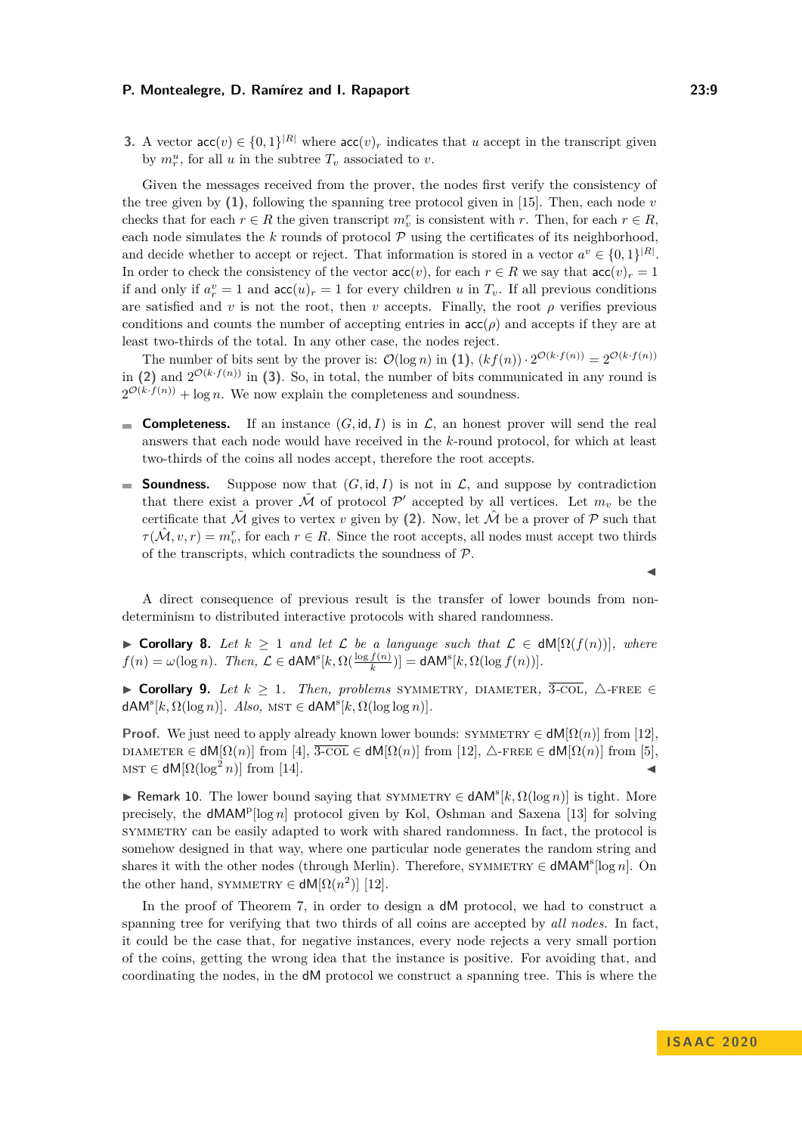**3.** A vector  $\text{acc}(v) \in \{0, 1\}^{|R|}$  where  $\text{acc}(v)_r$  indicates that *u* accept in the transcript given by  $m_r^u$ , for all *u* in the subtree  $T_v$  associated to *v*.

Given the messages received from the prover, the nodes first verify the consistency of the tree given by  $(1)$ , following the spanning tree protocol given in [\[15\]](#page-12-1). Then, each node *v* checks that for each  $r \in R$  the given transcript  $m_v^r$  is consistent with  $r$ . Then, for each  $r \in R$ , each node simulates the  $k$  rounds of protocol  $P$  using the certificates of its neighborhood, and decide whether to accept or reject. That information is stored in a vector  $a^v \in \{0,1\}^{|R|}$ . In order to check the consistency of the vector  $\text{acc}(v)$ , for each  $r \in R$  we say that  $\text{acc}(v)_r = 1$ if and only if  $a_r^v = 1$  and  $\text{acc}(u)_r = 1$  for every children *u* in  $T_v$ . If all previous conditions are satisfied and *v* is not the root, then *v* accepts. Finally, the root  $\rho$  verifies previous conditions and counts the number of accepting entries in  $\operatorname{acc}(\rho)$  and accepts if they are at least two-thirds of the total. In any other case, the nodes reject.

The number of bits sent by the prover is:  $\mathcal{O}(\log n)$  in  $(1)$ ,  $(kf(n)) \cdot 2^{\mathcal{O}(k \cdot f(n))} = 2^{\mathcal{O}(k \cdot f(n))}$ in (2) and  $2^{\mathcal{O}(k \cdot f(n))}$  in (3). So, in total, the number of bits communicated in any round is  $2^{\mathcal{O}(k \cdot f(n))} + \log n$ . We now explain the completeness and soundness.

- **Completeness.** If an instance  $(G, id, I)$  is in  $\mathcal{L}$ , an honest prover will send the real  $\mathbf{r}$ answers that each node would have received in the *k*-round protocol, for which at least two-thirds of the coins all nodes accept, therefore the root accepts.
- **Soundness.** Suppose now that  $(G, id, I)$  is not in  $\mathcal{L}$ , and suppose by contradiction that there exist a prover  $\tilde{\mathcal{M}}$  of protocol  $\mathcal{P}'$  accepted by all vertices. Let  $m_v$  be the certificate that  $\tilde{\mathcal{M}}$  gives to vertex *v* given by (2). Now, let  $\hat{\mathcal{M}}$  be a prover of  $\mathcal{P}$  such that  $\tau(\hat{\mathcal{M}}, v, r) = m_v^r$ , for each  $r \in R$ . Since the root accepts, all nodes must accept two thirds of the transcripts, which contradicts the soundness of  $P$ .

A direct consequence of previous result is the transfer of lower bounds from nondeterminism to distributed interactive protocols with shared randomness.

 $\triangleright$  **Corollary 8.** *Let*  $k \ge 1$  *and let*  $\mathcal{L}$  *be a language such that*  $\mathcal{L} \in dM[Ω(f(n))],$  *where*  $f(n) = \omega(\log n)$ *. Then,*  $\mathcal{L} \in \mathsf{dAM}^s[k, \Omega(\frac{\log f(n)}{k})] = \mathsf{dAM}^s[k, \Omega(\log f(n))]$ *.* 

 $\triangleright$  **Corollary 9.** *Let*  $k \geq 1$ *. Then, problems* SYMMETRY, DIAMETER,  $\overline{3\text{-COL}}$ ,  $\triangle$ -FREE ∈  $dAM^{s}[k, \Omega(\log n)]$ *. Also,*  $MST \in dAM^{s}[k, \Omega(\log \log n)]$ *.* 

**Proof.** We just need to apply already known lower bounds:  $\text{SYMMETRY} \in \text{dM}(\Omega(n))$  from [\[12\]](#page-12-4), DIAMETER  $\in$  dM[ $\Omega(n)$ ] from [\[4\]](#page-12-16),  $\overline{3\text{-col}} \in$  dM[ $\Omega(n)$ ] from [\[12\]](#page-12-4),  $\triangle$ -FREE  $\in$  dM[ $\Omega(n)$ ] from [\[5\]](#page-12-9),  $MST \in dM[\Omega(\log^2 n)]$  from [\[14\]](#page-12-17).

**► Remark 10.** The lower bound saying that SYMMETRY  $\in$  dAM<sup>s</sup>[k, Ω(log *n*)] is tight. More precisely, the dMAM<sup>p</sup>[log *n*] protocol given by Kol, Oshman and Saxena [\[13\]](#page-12-8) for solving symmetry can be easily adapted to work with shared randomness. In fact, the protocol is somehow designed in that way, where one particular node generates the random string and shares it with the other nodes (through Merlin). Therefore, SYMMETRY  $\in$  **dMAM<sup>s</sup>**[log *n*]. On the other hand, SYMMETRY  $\in$  **dM**[ $\Omega(n^2)$ ] [\[12\]](#page-12-4).

In the proof of Theorem [7,](#page-7-1) in order to design a dM protocol, we had to construct a spanning tree for verifying that two thirds of all coins are accepted by *all nodes*. In fact, it could be the case that, for negative instances, every node rejects a very small portion of the coins, getting the wrong idea that the instance is positive. For avoiding that, and coordinating the nodes, in the dM protocol we construct a spanning tree. This is where the

J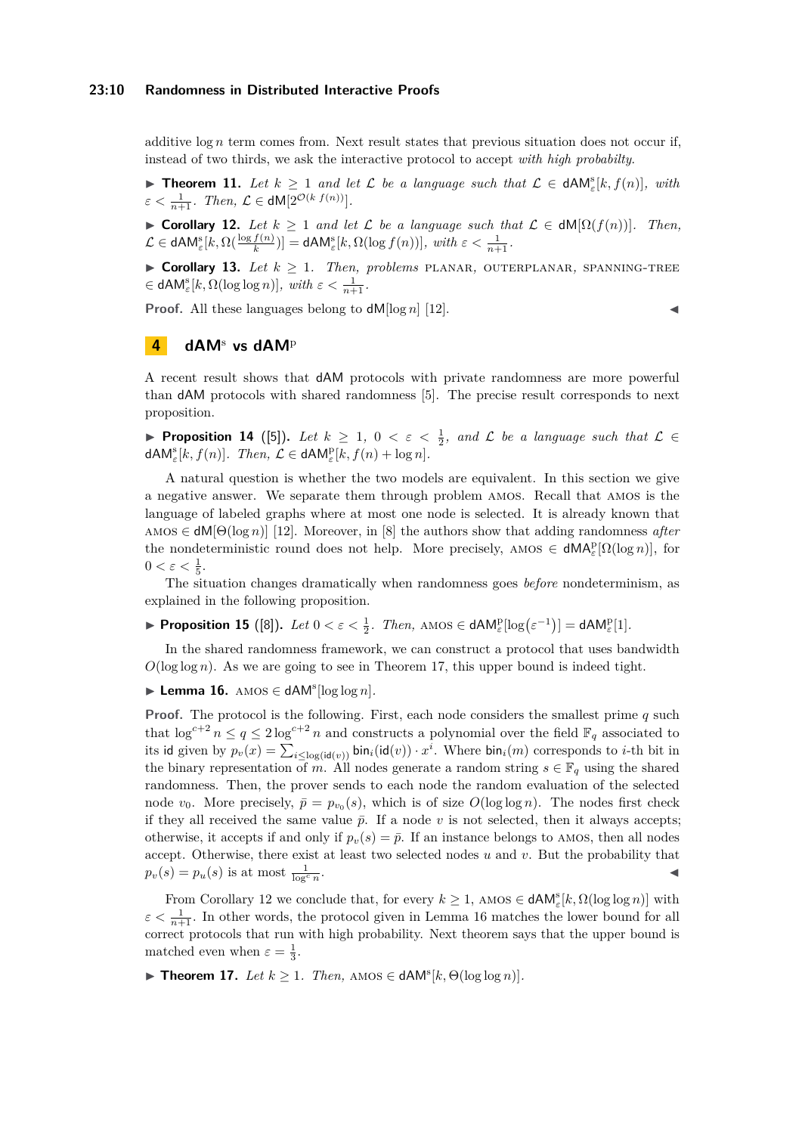#### **23:10 Randomness in Distributed Interactive Proofs**

additive  $\log n$  term comes from. Next result states that previous situation does not occur if, instead of two thirds, we ask the interactive protocol to accept *with high probabilty*.

**► Theorem 11.** Let  $k \ge 1$  and let  $\mathcal{L}$  be a language such that  $\mathcal{L} \in dAM_{\varepsilon}^s[k, f(n)]$ , with  $\varepsilon < \frac{1}{n+1}$ *. Then,*  $\mathcal{L} \in \mathsf{dM}[2^{\mathcal{O}(k \ f(n))}].$ 

<span id="page-9-2"></span> $\triangleright$  **Corollary 12.** *Let*  $k \ge 1$  *and let*  $\mathcal{L}$  *be a language such that*  $\mathcal{L} \in dM[Ω(f(n))]$ *. Then,*  $\mathcal{L} \in \mathsf{dAM}^{\mathbf{s}}_{\varepsilon}[k,\Omega(\frac{\log f(n)}{k})]=\mathsf{dAM}^{\mathbf{s}}_{\varepsilon}[k,\Omega(\log f(n))], \ with \ \varepsilon < \frac{1}{n+1}.$ 

 $\triangleright$  **Corollary 13.** *Let*  $k \geq 1$ *. Then, problems* PLANAR, OUTERPLANAR, SPANNING-TREE  $\in$  **dAM**<sup>*s*</sup><sub> $\varepsilon$ </sub>[ $k$ ,  $\Omega(\log \log n)$ ], with  $\varepsilon < \frac{1}{n+1}$ .

**Proof.** All these languages belong to  $dM[\log n]$  [\[12\]](#page-12-4).

# <span id="page-9-0"></span>**4 dAM**<sup>s</sup> **vs dAM**<sup>p</sup>

A recent result shows that dAM protocols with private randomness are more powerful than dAM protocols with shared randomness [\[5\]](#page-12-9). The precise result corresponds to next proposition.

<span id="page-9-4"></span>**► Proposition 14** ([\[5\]](#page-12-9)). Let  $k \geq 1$ ,  $0 < \varepsilon < \frac{1}{2}$ , and  $\mathcal{L}$  be a language such that  $\mathcal{L} \in$  $dAM_{\varepsilon}^{\mathrm{s}}[k, f(n)]$ *.* Then,  $\mathcal{L} \in \mathsf{dAM}_{\varepsilon}^{\mathrm{p}}[k, f(n) + \log n]$ *.* 

A natural question is whether the two models are equivalent. In this section we give a negative answer. We separate them through problem amos. Recall that amos is the language of labeled graphs where at most one node is selected. It is already known that amos ∈ dM[Θ(log *n*)] [\[12\]](#page-12-4). Moreover, in [\[8\]](#page-12-10) the authors show that adding randomness *after* the nondeterministic round does not help. More precisely, AMOS  $\in dMA_{\varepsilon}^{p}[\Omega(\log n)]$ , for  $0 < \varepsilon < \frac{1}{5}.$ 

The situation changes dramatically when randomness goes *before* nondeterminism, as explained in the following proposition.

► Proposition 15 ([\[8\]](#page-12-10)). Let  $0 < \varepsilon < \frac{1}{2}$ . Then, AMOS  $\in$  dAM $_{\varepsilon}^{\text{p}}[\log(\varepsilon^{-1})] =$  dAM $_{\varepsilon}^{\text{p}}[1]$ .

In the shared randomness framework, we can construct a protocol that uses bandwidth  $O(\log \log n)$ . As we are going to see in Theorem [17,](#page-9-1) this upper bound is indeed tight.

<span id="page-9-3"></span>► Lemma 16. AMOS  $\in$  dAM<sup>s</sup>[log log n].

**Proof.** The protocol is the following. First, each node considers the smallest prime *q* such that  $\log^{c+2} n \leq q \leq 2 \log^{c+2} n$  and constructs a polynomial over the field  $\mathbb{F}_q$  associated to its id given by  $p_v(x) = \sum_{i \leq \log(\text{id}(v))} \text{bin}_i(\text{id}(v)) \cdot x^i$ . Where  $\text{bin}_i(m)$  corresponds to *i*-th bit in the binary representation of *m*. All nodes generate a random string  $s \in \mathbb{F}_q$  using the shared randomness. Then, the prover sends to each node the random evaluation of the selected node  $v_0$ . More precisely,  $\bar{p} = p_{v_0}(s)$ , which is of size  $O(\log \log n)$ . The nodes first check if they all received the same value  $\bar{p}$ . If a node v is not selected, then it always accepts; otherwise, it accepts if and only if  $p_v(s) = \bar{p}$ . If an instance belongs to AMOS, then all nodes accept. Otherwise, there exist at least two selected nodes *u* and *v*. But the probability that  $p_v(s) = p_u(s)$  is at most  $\frac{1}{\log^c n}$ . J

From Corollary [12](#page-9-2) we conclude that, for every  $k \geq 1$ , AMOS  $\in$  **dAM**<sup>s</sup><sub> $\in$ </sub> $[k, \Omega(\log \log n)]$  with  $\varepsilon < \frac{1}{n+1}$ . In other words, the protocol given in Lemma [16](#page-9-3) matches the lower bound for all correct protocols that run with high probability. Next theorem says that the upper bound is matched even when  $\varepsilon = \frac{1}{3}$ .

<span id="page-9-1"></span>**► Theorem 17.** *Let*  $k \ge 1$ *. Then,* AMOS ∈ dAM<sup>s</sup>[ $k$ ,  $\Theta(\log \log n)$ ]*.*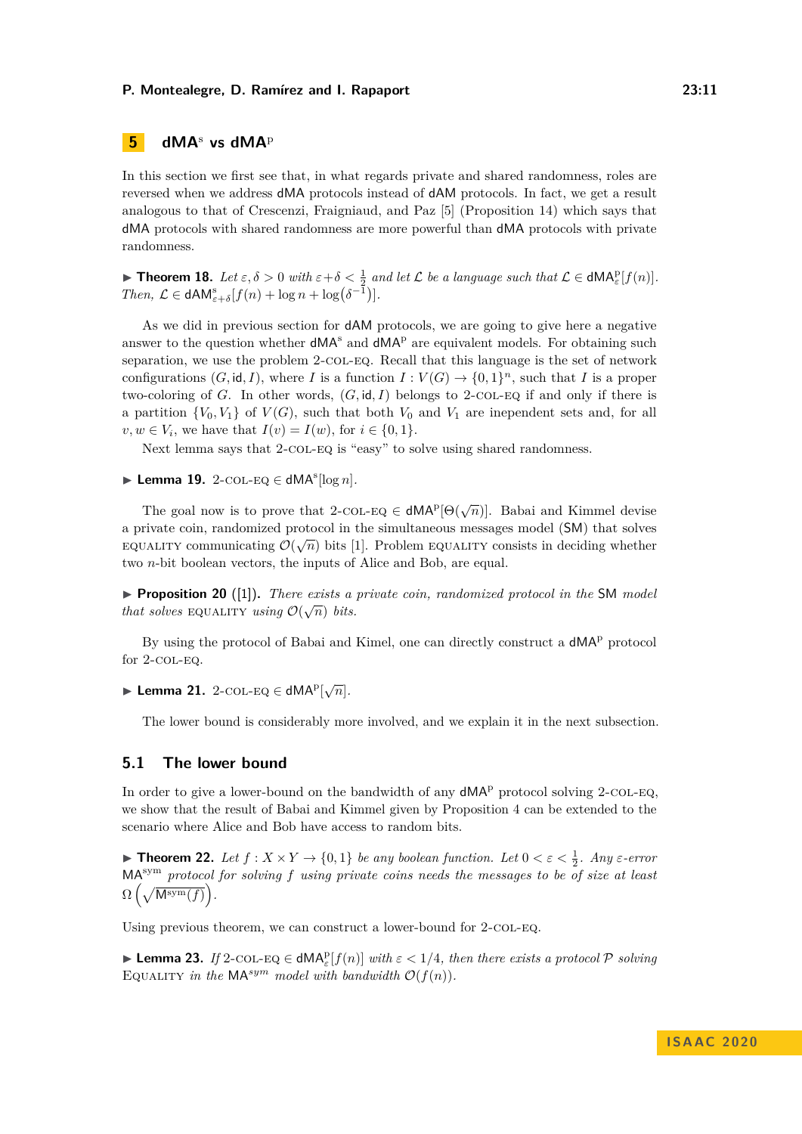# <span id="page-10-0"></span>**5 dMA**<sup>s</sup> **vs dMA**<sup>p</sup>

In this section we first see that, in what regards private and shared randomness, roles are reversed when we address dMA protocols instead of dAM protocols. In fact, we get a result analogous to that of Crescenzi, Fraigniaud, and Paz [\[5\]](#page-12-9) (Proposition [14\)](#page-9-4) which says that dMA protocols with shared randomness are more powerful than dMA protocols with private randomness.

**► Theorem 18.** Let  $\varepsilon, \delta > 0$  with  $\varepsilon + \delta < \frac{1}{2}$  and let  $\mathcal{L}$  be a language such that  $\mathcal{L} \in \text{dMA}_{\varepsilon}^{\text{p}}[f(n)]$ . *Then,*  $\mathcal{L} \in \mathsf{dAM}^s_{\varepsilon+\delta}[f(n)+\log n + \log(\delta^{-1})].$ 

As we did in previous section for dAM protocols, we are going to give here a negative answer to the question whether  $dMA<sup>s</sup>$  and  $dMA<sup>p</sup>$  are equivalent models. For obtaining such separation, we use the problem 2-COL-EQ. Recall that this language is the set of network configurations  $(G, id, I)$ , where *I* is a function  $I: V(G) \to \{0, 1\}^n$ , such that *I* is a proper two-coloring of *G*. In other words, (*G,* id*, I*) belongs to 2-col-eq if and only if there is a partition  ${V_0, V_1}$  of  $V(G)$ , such that both  $V_0$  and  $V_1$  are inependent sets and, for all *v*, *w* ∈ *V*<sub>*i*</sub>, we have that *I*(*v*) = *I*(*w*), for *i* ∈ {0, 1}.

Next lemma says that 2-COL-EQ is "easy" to solve using shared randomness.

<span id="page-10-3"></span>► Lemma 19. 2-COL-EQ  $\in$  dMA<sup>s</sup>[log *n*].

The goal now is to prove that 2-COL-EQ  $\in$  **dMA**<sup>p</sup> $[\Theta(\sqrt{n})]$ . Babai and Kimmel devise a private coin, randomized protocol in the simultaneous messages model (SM) that solves  $\alpha$  provact com, randomized protocol in the simulatious messages model (SM) that solves EQUALITY communicating  $\mathcal{O}(\sqrt{n})$  bits [\[1\]](#page-12-12). Problem EQUALITY consists in deciding whether two *n*-bit boolean vectors, the inputs of Alice and Bob, are equal.

 $\triangleright$  **Proposition 20** ([\[1\]](#page-12-12)). *There exists a private coin, randomized protocol in the* SM *model that solves* EQUALITY *using*  $\mathcal{O}(\sqrt{n})$  *bits.* 

By using the protocol of Babai and Kimel, one can directly construct a  $dMA<sup>p</sup>$  protocol for 2-COL-EQ.

► Lemma 21. 2-COL-EQ  $\in$  dMA<sup>p</sup> $\lfloor\sqrt{n}\rfloor$ *.* 

The lower bound is considerably more involved, and we explain it in the next subsection.

# **5.1 The lower bound**

In order to give a lower-bound on the bandwidth of any  $dMA<sup>p</sup>$  protocol solving 2-COL-EQ, we show that the result of Babai and Kimmel given by Proposition [4](#page-6-0) can be extended to the scenario where Alice and Bob have access to random bits.

<span id="page-10-2"></span>**Fineorem 22.** Let  $f: X \times Y \to \{0, 1\}$  be any boolean function. Let  $0 < \varepsilon < \frac{1}{2}$ . Any  $\varepsilon$ -error MAsym *protocol for solving f using private coins needs the messages to be of size at least*  $\Omega\left(\sqrt{\text{Msym}(f)}\right)$ .

<span id="page-10-1"></span>Using previous theorem, we can construct a lower-bound for 2-COL-EQ.

**Example 23.** *If* 2-COL-EQ  $\in$  dMA<sup>p</sup><sub>*ε*</sub> $[f(n)]$  *with*  $\varepsilon$  < 1/4*, then there exists a protocol* P *solving* EQUALITY *in the*  $\mathsf{MA}^{sym}$  *model with bandwidth*  $\mathcal{O}(f(n))$ *.*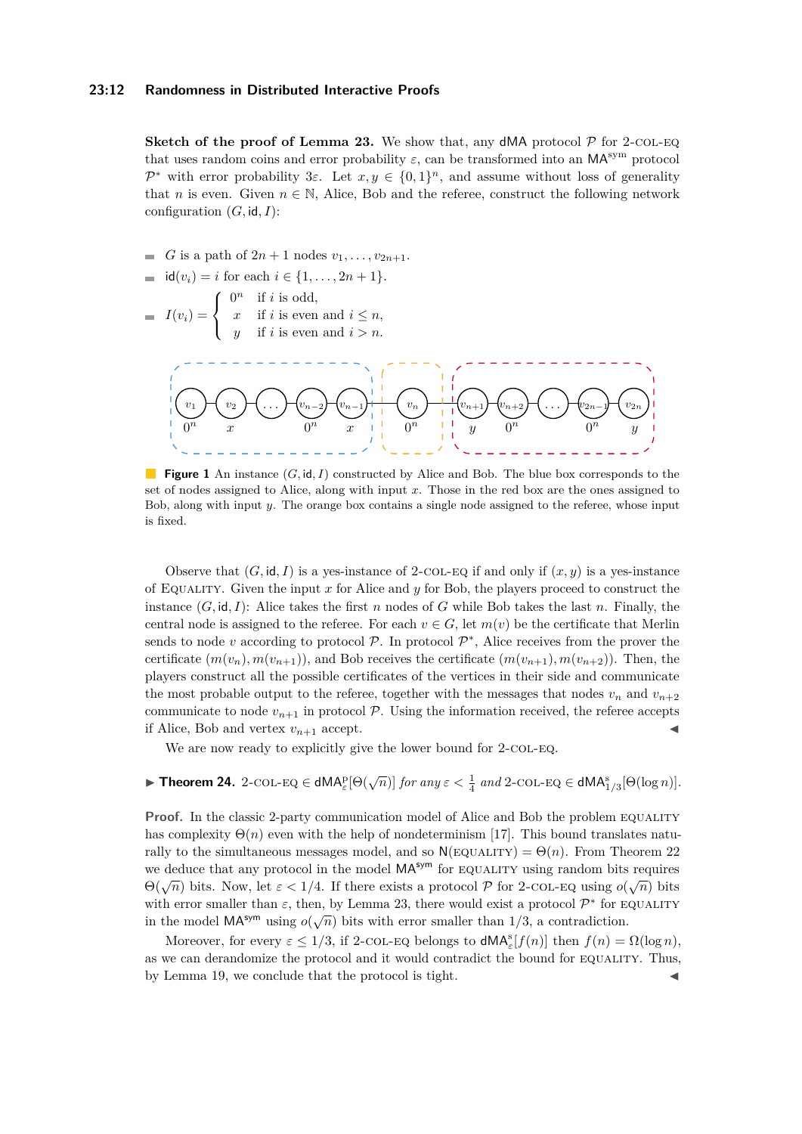#### **23:12 Randomness in Distributed Interactive Proofs**

**Sketch of the proof of Lemma [23.](#page-10-1)** We show that, any dMA protocol  $P$  for 2-col-Eq. that uses random coins and error probability  $\varepsilon$ , can be transformed into an MA<sup>sym</sup> protocol P<sup>\*</sup> with error probability 3 $\varepsilon$ . Let  $x, y \in \{0, 1\}^n$ , and assume without loss of generality that *n* is even. Given  $n \in \mathbb{N}$ , Alice, Bob and the referee, construct the following network configuration  $(G, id, I)$ :

*G* is a path of  $2n + 1$  nodes  $v_1, \ldots, v_{2n+1}$ .

$$
= id(v_i) = i \text{ for each } i \in \{1, ..., 2n+1\}.
$$

 $I(v_i) =$  $\sqrt{ }$  $\left\vert \right\vert$  $\mathcal{L}$  $0^n$  if *i* is odd, *x* if *i* is even and  $i \leq n$ , *y* if *i* is even and  $i > n$ .



**Figure 1** An instance (*G,* id*, I*) constructed by Alice and Bob. The blue box corresponds to the set of nodes assigned to Alice, along with input *x*. Those in the red box are the ones assigned to Bob, along with input *y*. The orange box contains a single node assigned to the referee, whose input is fixed.

Observe that  $(G, id, I)$  is a ves-instance of 2-COL-EQ if and only if  $(x, y)$  is a ves-instance of Equality. Given the input *x* for Alice and *y* for Bob, the players proceed to construct the instance  $(G, id, I)$ : Alice takes the first *n* nodes of *G* while Bob takes the last *n*. Finally, the central node is assigned to the referee. For each  $v \in G$ , let  $m(v)$  be the certificate that Merlin sends to node  $v$  according to protocol  $P$ . In protocol  $P^*$ , Alice receives from the prover the certificate  $(m(v_n), m(v_{n+1}))$ , and Bob receives the certificate  $(m(v_{n+1}), m(v_{n+2}))$ . Then, the players construct all the possible certificates of the vertices in their side and communicate the most probable output to the referee, together with the messages that nodes  $v_n$  and  $v_{n+2}$ communicate to node  $v_{n+1}$  in protocol  $P$ . Using the information received, the referee accepts if Alice, Bob and vertex  $v_{n+1}$  accept.

We are now ready to explicitly give the lower bound for 2-COL-EQ.

# **Fineorem 24.** 2-COL-EQ  $\in$  dMA<sub>E</sub><sup>D</sup> $(\sqrt{n})$ ] *for any*  $\varepsilon < \frac{1}{4}$  *and* 2-COL-EQ  $\in$  dMA<sub>1</sub><sup>3</sup><sub>1</sub> $\in$  $[Θ(\log n)]$ *.*

**Proof.** In the classic 2-party communication model of Alice and Bob the problem EQUALITY has complexity  $\Theta(n)$  even with the help of nondeterminism [\[17\]](#page-12-18). This bound translates naturally to the simultaneous messages model, and so  $N(\text{EQUALITY}) = \Theta(n)$ . From Theorem [22](#page-10-2) we deduce that any protocol in the model  $MA^{sym}$  for EQUALITY using random bits requires  $\Theta(\sqrt{n})$  bits. Now, let  $\varepsilon < 1/4$ . If there exists a protocol *P* for 2-COL-EQ using *o*( $\sqrt{n}$ ) bits with error smaller than  $\varepsilon$ , then, by Lemma [23,](#page-10-1) there would exist a protocol  $\mathcal{P}^*$  for EQUALITY while error smaller than  $\varepsilon$ , then, by Bennia 23, there would exist a protocol  $\ell$  for E<br>in the model  $\mathsf{MA}^{\mathsf{sym}}$  using  $o(\sqrt{n})$  bits with error smaller than 1/3, a contradiction.

Moreover, for every  $\varepsilon \leq 1/3$ , if 2-COL-EQ belongs to  $\mathsf{dMA}_{\varepsilon}^{\mathsf{s}}[f(n)]$  then  $f(n) = \Omega(\log n)$ , as we can derandomize the protocol and it would contradict the bound for EQUALITY. Thus, by Lemma [19,](#page-10-3) we conclude that the protocol is tight.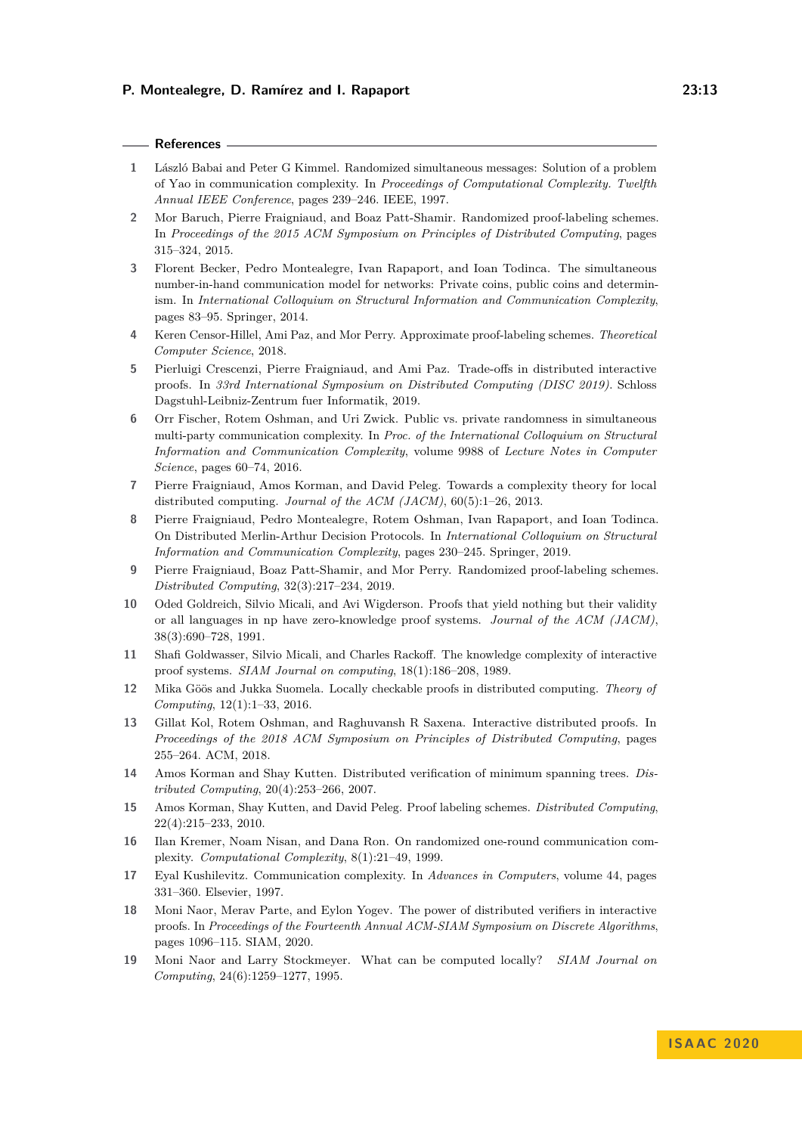#### **References**

- <span id="page-12-12"></span>**1** László Babai and Peter G Kimmel. Randomized simultaneous messages: Solution of a problem of Yao in communication complexity. In *Proceedings of Computational Complexity. Twelfth Annual IEEE Conference*, pages 239–246. IEEE, 1997.
- <span id="page-12-7"></span>**2** Mor Baruch, Pierre Fraigniaud, and Boaz Patt-Shamir. Randomized proof-labeling schemes. In *Proceedings of the 2015 ACM Symposium on Principles of Distributed Computing*, pages 315–324, 2015.
- <span id="page-12-13"></span>**3** Florent Becker, Pedro Montealegre, Ivan Rapaport, and Ioan Todinca. The simultaneous number-in-hand communication model for networks: Private coins, public coins and determinism. In *International Colloquium on Structural Information and Communication Complexity*, pages 83–95. Springer, 2014.
- <span id="page-12-16"></span>**4** Keren Censor-Hillel, Ami Paz, and Mor Perry. Approximate proof-labeling schemes. *Theoretical Computer Science*, 2018.
- <span id="page-12-9"></span>**5** Pierluigi Crescenzi, Pierre Fraigniaud, and Ami Paz. Trade-offs in distributed interactive proofs. In *33rd International Symposium on Distributed Computing (DISC 2019)*. Schloss Dagstuhl-Leibniz-Zentrum fuer Informatik, 2019.
- <span id="page-12-14"></span>**6** Orr Fischer, Rotem Oshman, and Uri Zwick. Public vs. private randomness in simultaneous multi-party communication complexity. In *Proc. of the International Colloquium on Structural Information and Communication Complexity*, volume 9988 of *Lecture Notes in Computer Science*, pages 60–74, 2016.
- <span id="page-12-3"></span>**7** Pierre Fraigniaud, Amos Korman, and David Peleg. Towards a complexity theory for local distributed computing. *Journal of the ACM (JACM)*, 60(5):1–26, 2013.
- <span id="page-12-10"></span>**8** Pierre Fraigniaud, Pedro Montealegre, Rotem Oshman, Ivan Rapaport, and Ioan Todinca. On Distributed Merlin-Arthur Decision Protocols. In *International Colloquium on Structural Information and Communication Complexity*, pages 230–245. Springer, 2019.
- <span id="page-12-2"></span>**9** Pierre Fraigniaud, Boaz Patt-Shamir, and Mor Perry. Randomized proof-labeling schemes. *Distributed Computing*, 32(3):217–234, 2019.
- <span id="page-12-5"></span>**10** Oded Goldreich, Silvio Micali, and Avi Wigderson. Proofs that yield nothing but their validity or all languages in np have zero-knowledge proof systems. *Journal of the ACM (JACM)*, 38(3):690–728, 1991.
- <span id="page-12-6"></span>**11** Shafi Goldwasser, Silvio Micali, and Charles Rackoff. The knowledge complexity of interactive proof systems. *SIAM Journal on computing*, 18(1):186–208, 1989.
- <span id="page-12-4"></span>**12** Mika Göös and Jukka Suomela. Locally checkable proofs in distributed computing. *Theory of Computing*, 12(1):1–33, 2016.
- <span id="page-12-8"></span>**13** Gillat Kol, Rotem Oshman, and Raghuvansh R Saxena. Interactive distributed proofs. In *Proceedings of the 2018 ACM Symposium on Principles of Distributed Computing*, pages 255–264. ACM, 2018.
- <span id="page-12-17"></span>**14** Amos Korman and Shay Kutten. Distributed verification of minimum spanning trees. *Distributed Computing*, 20(4):253–266, 2007.
- <span id="page-12-1"></span>**15** Amos Korman, Shay Kutten, and David Peleg. Proof labeling schemes. *Distributed Computing*, 22(4):215–233, 2010.
- <span id="page-12-15"></span>**16** Ilan Kremer, Noam Nisan, and Dana Ron. On randomized one-round communication complexity. *Computational Complexity*, 8(1):21–49, 1999.
- <span id="page-12-18"></span>**17** Eyal Kushilevitz. Communication complexity. In *Advances in Computers*, volume 44, pages 331–360. Elsevier, 1997.
- <span id="page-12-11"></span>**18** Moni Naor, Merav Parte, and Eylon Yogev. The power of distributed verifiers in interactive proofs. In *Proceedings of the Fourteenth Annual ACM-SIAM Symposium on Discrete Algorithms*, pages 1096–115. SIAM, 2020.
- <span id="page-12-0"></span>**19** Moni Naor and Larry Stockmeyer. What can be computed locally? *SIAM Journal on Computing*, 24(6):1259–1277, 1995.